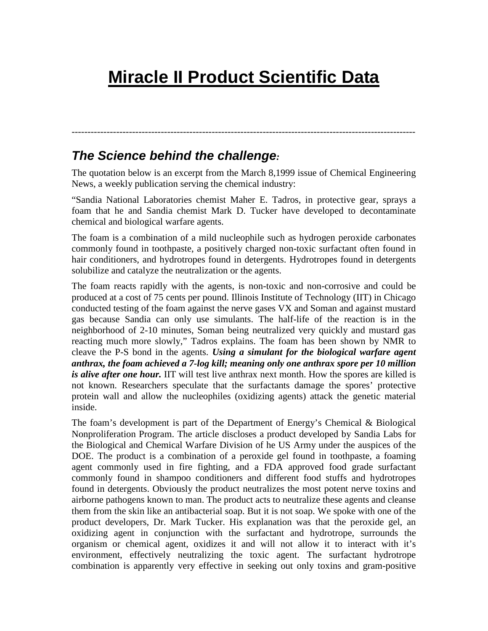# **Miracle II Product Scientific Data**

## *The Science behind the challenge:*

The quotation below is an excerpt from the March 8,1999 issue of Chemical Engineering News, a weekly publication serving the chemical industry:

------------------------------------------------------------------------------------------------------------

"Sandia National Laboratories chemist Maher E. Tadros, in protective gear, sprays a foam that he and Sandia chemist Mark D. Tucker have developed to decontaminate chemical and biological warfare agents.

The foam is a combination of a mild nucleophile such as hydrogen peroxide carbonates commonly found in toothpaste, a positively charged non-toxic surfactant often found in hair conditioners, and hydrotropes found in detergents. Hydrotropes found in detergents solubilize and catalyze the neutralization or the agents.

The foam reacts rapidly with the agents, is non-toxic and non-corrosive and could be produced at a cost of 75 cents per pound. Illinois Institute of Technology (IIT) in Chicago conducted testing of the foam against the nerve gases VX and Soman and against mustard gas because Sandia can only use simulants. The half-life of the reaction is in the neighborhood of 2-10 minutes, Soman being neutralized very quickly and mustard gas reacting much more slowly," Tadros explains. The foam has been shown by NMR to cleave the P-S bond in the agents. *Using a simulant for the biological warfare agent anthrax, the foam achieved a 7-log kill; meaning only one anthrax spore per 10 million is alive after one hour.* IIT will test live anthrax next month. How the spores are killed is not known. Researchers speculate that the surfactants damage the spores' protective protein wall and allow the nucleophiles (oxidizing agents) attack the genetic material inside.

The foam's development is part of the Department of Energy's Chemical & Biological Nonproliferation Program. The article discloses a product developed by Sandia Labs for the Biological and Chemical Warfare Division of he US Army under the auspices of the DOE. The product is a combination of a peroxide gel found in toothpaste, a foaming agent commonly used in fire fighting, and a FDA approved food grade surfactant commonly found in shampoo conditioners and different food stuffs and hydrotropes found in detergents. Obviously the product neutralizes the most potent nerve toxins and airborne pathogens known to man. The product acts to neutralize these agents and cleanse them from the skin like an antibacterial soap. But it is not soap. We spoke with one of the product developers, Dr. Mark Tucker. His explanation was that the peroxide gel, an oxidizing agent in conjunction with the surfactant and hydrotrope, surrounds the organism or chemical agent, oxidizes it and will not allow it to interact with it's environment, effectively neutralizing the toxic agent. The surfactant hydrotrope combination is apparently very effective in seeking out only toxins and gram-positive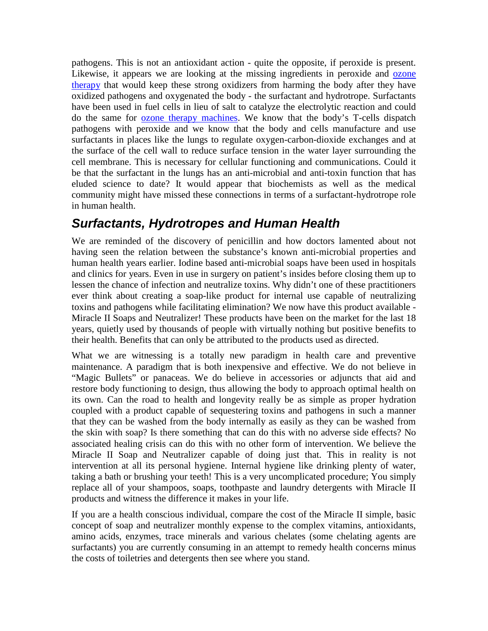pathogens. This is not an antioxidant action - quite the opposite, if peroxide is present. Likewise, it appears we are looking at the missing ingredients in peroxide and [ozone](http://www.austinozone.com/)  [therapy](http://www.austinozone.com/) that would keep these strong oxidizers from harming the body after they have oxidized pathogens and oxygenated the body - the surfactant and hydrotrope. Surfactants have been used in fuel cells in lieu of salt to catalyze the electrolytic reaction and could do the same for [ozone therapy machines.](http://www.ozonemachine.org/) We know that the body's T-cells dispatch pathogens with peroxide and we know that the body and cells manufacture and use surfactants in places like the lungs to regulate oxygen-carbon-dioxide exchanges and at the surface of the cell wall to reduce surface tension in the water layer surrounding the cell membrane. This is necessary for cellular functioning and communications. Could it be that the surfactant in the lungs has an anti-microbial and anti-toxin function that has eluded science to date? It would appear that biochemists as well as the medical community might have missed these connections in terms of a surfactant-hydrotrope role in human health.

# *Surfactants, Hydrotropes and Human Health*

We are reminded of the discovery of penicillin and how doctors lamented about not having seen the relation between the substance's known anti-microbial properties and human health years earlier. Iodine based anti-microbial soaps have been used in hospitals and clinics for years. Even in use in surgery on patient's insides before closing them up to lessen the chance of infection and neutralize toxins. Why didn't one of these practitioners ever think about creating a soap-like product for internal use capable of neutralizing toxins and pathogens while facilitating elimination? We now have this product available - Miracle II Soaps and Neutralizer! These products have been on the market for the last 18 years, quietly used by thousands of people with virtually nothing but positive benefits to their health. Benefits that can only be attributed to the products used as directed.

What we are witnessing is a totally new paradigm in health care and preventive maintenance. A paradigm that is both inexpensive and effective. We do not believe in "Magic Bullets" or panaceas. We do believe in accessories or adjuncts that aid and restore body functioning to design, thus allowing the body to approach optimal health on its own. Can the road to health and longevity really be as simple as proper hydration coupled with a product capable of sequestering toxins and pathogens in such a manner that they can be washed from the body internally as easily as they can be washed from the skin with soap? Is there something that can do this with no adverse side effects? No associated healing crisis can do this with no other form of intervention. We believe the Miracle II Soap and Neutralizer capable of doing just that. This in reality is not intervention at all its personal hygiene. Internal hygiene like drinking plenty of water, taking a bath or brushing your teeth! This is a very uncomplicated procedure; You simply replace all of your shampoos, soaps, toothpaste and laundry detergents with Miracle II products and witness the difference it makes in your life.

If you are a health conscious individual, compare the cost of the Miracle II simple, basic concept of soap and neutralizer monthly expense to the complex vitamins, antioxidants, amino acids, enzymes, trace minerals and various chelates (some chelating agents are surfactants) you are currently consuming in an attempt to remedy health concerns minus the costs of toiletries and detergents then see where you stand.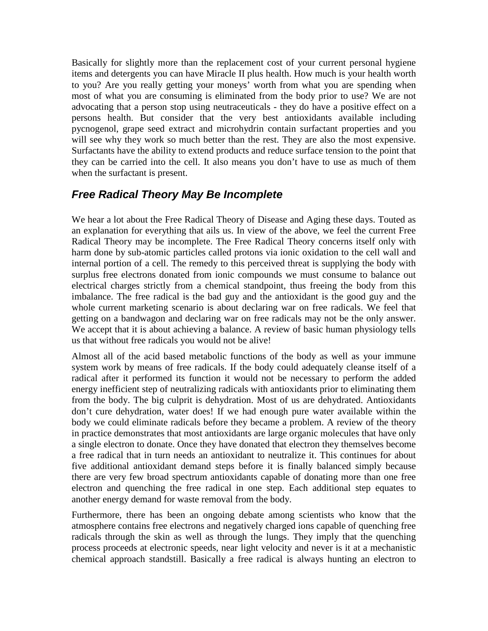Basically for slightly more than the replacement cost of your current personal hygiene items and detergents you can have Miracle II plus health. How much is your health worth to you? Are you really getting your moneys' worth from what you are spending when most of what you are consuming is eliminated from the body prior to use? We are not advocating that a person stop using neutraceuticals - they do have a positive effect on a persons health. But consider that the very best antioxidants available including pycnogenol, grape seed extract and microhydrin contain surfactant properties and you will see why they work so much better than the rest. They are also the most expensive. Surfactants have the ability to extend products and reduce surface tension to the point that they can be carried into the cell. It also means you don't have to use as much of them when the surfactant is present.

#### *Free Radical Theory May Be Incomplete*

We hear a lot about the Free Radical Theory of Disease and Aging these days. Touted as an explanation for everything that ails us. In view of the above, we feel the current Free Radical Theory may be incomplete. The Free Radical Theory concerns itself only with harm done by sub-atomic particles called protons via ionic oxidation to the cell wall and internal portion of a cell. The remedy to this perceived threat is supplying the body with surplus free electrons donated from ionic compounds we must consume to balance out electrical charges strictly from a chemical standpoint, thus freeing the body from this imbalance. The free radical is the bad guy and the antioxidant is the good guy and the whole current marketing scenario is about declaring war on free radicals. We feel that getting on a bandwagon and declaring war on free radicals may not be the only answer. We accept that it is about achieving a balance. A review of basic human physiology tells us that without free radicals you would not be alive!

Almost all of the acid based metabolic functions of the body as well as your immune system work by means of free radicals. If the body could adequately cleanse itself of a radical after it performed its function it would not be necessary to perform the added energy inefficient step of neutralizing radicals with antioxidants prior to eliminating them from the body. The big culprit is dehydration. Most of us are dehydrated. Antioxidants don't cure dehydration, water does! If we had enough pure water available within the body we could eliminate radicals before they became a problem. A review of the theory in practice demonstrates that most antioxidants are large organic molecules that have only a single electron to donate. Once they have donated that electron they themselves become a free radical that in turn needs an antioxidant to neutralize it. This continues for about five additional antioxidant demand steps before it is finally balanced simply because there are very few broad spectrum antioxidants capable of donating more than one free electron and quenching the free radical in one step. Each additional step equates to another energy demand for waste removal from the body.

Furthermore, there has been an ongoing debate among scientists who know that the atmosphere contains free electrons and negatively charged ions capable of quenching free radicals through the skin as well as through the lungs. They imply that the quenching process proceeds at electronic speeds, near light velocity and never is it at a mechanistic chemical approach standstill. Basically a free radical is always hunting an electron to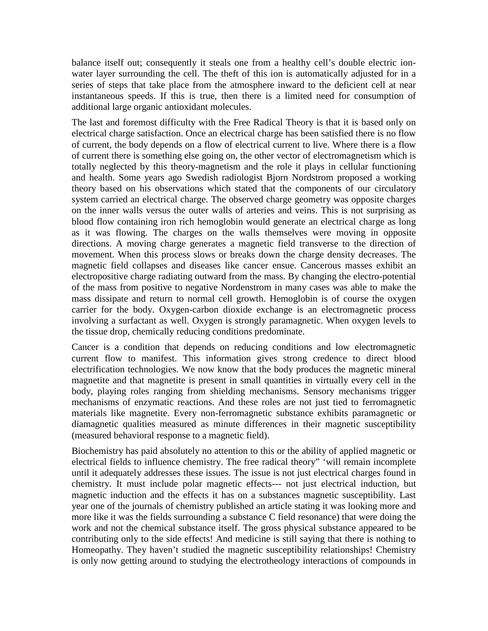balance itself out; consequently it steals one from a healthy cell's double electric ionwater layer surrounding the cell. The theft of this ion is automatically adjusted for in a series of steps that take place from the atmosphere inward to the deficient cell at near instantaneous speeds. If this is true, then there is a limited need for consumption of additional large organic antioxidant molecules.

The last and foremost difficulty with the Free Radical Theory is that it is based only on electrical charge satisfaction. Once an electrical charge has been satisfied there is no flow of current, the body depends on a flow of electrical current to live. Where there is a flow of current there is something else going on, the other vector of electromagnetism which is totally neglected by this theory-magnetism and the role it plays in cellular functioning and health. Some years ago Swedish radiologist Bjorn Nordstrom proposed a working theory based on his observations which stated that the components of our circulatory system carried an electrical charge. The observed charge geometry was opposite charges on the inner walls versus the outer walls of arteries and veins. This is not surprising as blood flow containing iron rich hemoglobin would generate an electrical charge as long as it was flowing. The charges on the walls themselves were moving in opposite directions. A moving charge generates a magnetic field transverse to the direction of movement. When this process slows or breaks down the charge density decreases. The magnetic field collapses and diseases like cancer ensue. Cancerous masses exhibit an electropositive charge radiating outward from the mass. By changing the electro-potential of the mass from positive to negative Nordenstrom in many cases was able to make the mass dissipate and return to normal cell growth. Hemoglobin is of course the oxygen carrier for the body. Oxygen-carbon dioxide exchange is an electromagnetic process involving a surfactant as well. Oxygen is strongly paramagnetic. When oxygen levels to the tissue drop, chemically reducing conditions predominate.

Cancer is a condition that depends on reducing conditions and low electromagnetic current flow to manifest. This information gives strong credence to direct blood electrification technologies. We now know that the body produces the magnetic mineral magnetite and that magnetite is present in small quantities in virtually every cell in the body, playing roles ranging from shielding mechanisms. Sensory mechanisms trigger mechanisms of enzymatic reactions. And these roles are not just tied to ferromagnetic materials like magnetite. Every non-ferromagnetic substance exhibits paramagnetic or diamagnetic qualities measured as minute differences in their magnetic susceptibility (measured behavioral response to a magnetic field).

Biochemistry has paid absolutely no attention to this or the ability of applied magnetic or electrical fields to influence chemistry. The free radical theory" 'will remain incomplete until it adequately addresses these issues. The issue is not just electrical charges found in chemistry. It must include polar magnetic effects--- not just electrical induction, but magnetic induction and the effects it has on a substances magnetic susceptibility. Last year one of the journals of chemistry published an article stating it was looking more and more like it was the fields surrounding a substance C field resonance) that were doing the work and not the chemical substance itself. The gross physical substance appeared to be contributing only to the side effects! And medicine is still saying that there is nothing to Homeopathy. They haven't studied the magnetic susceptibility relationships! Chemistry is only now getting around to studying the electrotheology interactions of compounds in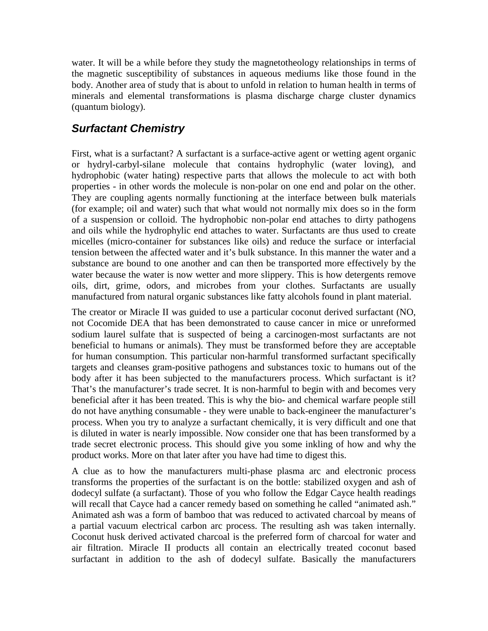water. It will be a while before they study the magnetotheology relationships in terms of the magnetic susceptibility of substances in aqueous mediums like those found in the body. Another area of study that is about to unfold in relation to human health in terms of minerals and elemental transformations is plasma discharge charge cluster dynamics (quantum biology).

### *Surfactant Chemistry*

First, what is a surfactant? A surfactant is a surface-active agent or wetting agent organic or hydryl-carbyl-silane molecule that contains hydrophylic (water loving), and hydrophobic (water hating) respective parts that allows the molecule to act with both properties - in other words the molecule is non-polar on one end and polar on the other. They are coupling agents normally functioning at the interface between bulk materials (for example; oil and water) such that what would not normally mix does so in the form of a suspension or colloid. The hydrophobic non-polar end attaches to dirty pathogens and oils while the hydrophylic end attaches to water. Surfactants are thus used to create micelles (micro-container for substances like oils) and reduce the surface or interfacial tension between the affected water and it's bulk substance. In this manner the water and a substance are bound to one another and can then be transported more effectively by the water because the water is now wetter and more slippery. This is how detergents remove oils, dirt, grime, odors, and microbes from your clothes. Surfactants are usually manufactured from natural organic substances like fatty alcohols found in plant material.

The creator or Miracle II was guided to use a particular coconut derived surfactant (NO, not Cocomide DEA that has been demonstrated to cause cancer in mice or unreformed sodium laurel sulfate that is suspected of being a carcinogen-most surfactants are not beneficial to humans or animals). They must be transformed before they are acceptable for human consumption. This particular non-harmful transformed surfactant specifically targets and cleanses gram-positive pathogens and substances toxic to humans out of the body after it has been subjected to the manufacturers process. Which surfactant is it? That's the manufacturer's trade secret. It is non-harmful to begin with and becomes very beneficial after it has been treated. This is why the bio- and chemical warfare people still do not have anything consumable - they were unable to back-engineer the manufacturer's process. When you try to analyze a surfactant chemically, it is very difficult and one that is diluted in water is nearly impossible. Now consider one that has been transformed by a trade secret electronic process. This should give you some inkling of how and why the product works. More on that later after you have had time to digest this.

A clue as to how the manufacturers multi-phase plasma arc and electronic process transforms the properties of the surfactant is on the bottle: stabilized oxygen and ash of dodecyl sulfate (a surfactant). Those of you who follow the Edgar Cayce health readings will recall that Cayce had a cancer remedy based on something he called "animated ash." Animated ash was a form of bamboo that was reduced to activated charcoal by means of a partial vacuum electrical carbon arc process. The resulting ash was taken internally. Coconut husk derived activated charcoal is the preferred form of charcoal for water and air filtration. Miracle II products all contain an electrically treated coconut based surfactant in addition to the ash of dodecyl sulfate. Basically the manufacturers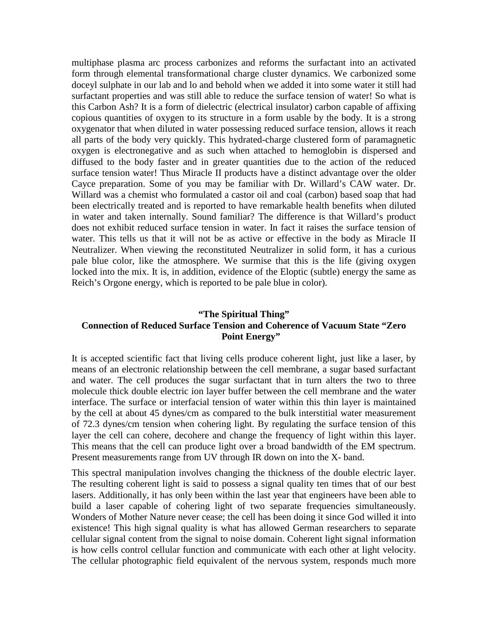multiphase plasma arc process carbonizes and reforms the surfactant into an activated form through elemental transformational charge cluster dynamics. We carbonized some doceyl sulphate in our lab and lo and behold when we added it into some water it still had surfactant properties and was still able to reduce the surface tension of water! So what is this Carbon Ash? It is a form of dielectric (electrical insulator) carbon capable of affixing copious quantities of oxygen to its structure in a form usable by the body. It is a strong oxygenator that when diluted in water possessing reduced surface tension, allows it reach all parts of the body very quickly. This hydrated-charge clustered form of paramagnetic oxygen is electronegative and as such when attached to hemoglobin is dispersed and diffused to the body faster and in greater quantities due to the action of the reduced surface tension water! Thus Miracle II products have a distinct advantage over the older Cayce preparation. Some of you may be familiar with Dr. Willard's CAW water. Dr. Willard was a chemist who formulated a castor oil and coal (carbon) based soap that had been electrically treated and is reported to have remarkable health benefits when diluted in water and taken internally. Sound familiar? The difference is that Willard's product does not exhibit reduced surface tension in water. In fact it raises the surface tension of water. This tells us that it will not be as active or effective in the body as Miracle II Neutralizer. When viewing the reconstituted Neutralizer in solid form, it has a curious pale blue color, like the atmosphere. We surmise that this is the life (giving oxygen locked into the mix. It is, in addition, evidence of the Eloptic (subtle) energy the same as Reich's Orgone energy, which is reported to be pale blue in color).

#### **"The Spiritual Thing" Connection of Reduced Surface Tension and Coherence of Vacuum State "Zero Point Energy"**

It is accepted scientific fact that living cells produce coherent light, just like a laser, by means of an electronic relationship between the cell membrane, a sugar based surfactant and water. The cell produces the sugar surfactant that in turn alters the two to three molecule thick double electric ion layer buffer between the cell membrane and the water interface. The surface or interfacial tension of water within this thin layer is maintained by the cell at about 45 dynes/cm as compared to the bulk interstitial water measurement of 72.3 dynes/cm tension when cohering light. By regulating the surface tension of this layer the cell can cohere, decohere and change the frequency of light within this layer. This means that the cell can produce light over a broad bandwidth of the EM spectrum. Present measurements range from UV through IR down on into the X- band.

This spectral manipulation involves changing the thickness of the double electric layer. The resulting coherent light is said to possess a signal quality ten times that of our best lasers. Additionally, it has only been within the last year that engineers have been able to build a laser capable of cohering light of two separate frequencies simultaneously. Wonders of Mother Nature never cease; the cell has been doing it since God willed it into existence! This high signal quality is what has allowed German researchers to separate cellular signal content from the signal to noise domain. Coherent light signal information is how cells control cellular function and communicate with each other at light velocity. The cellular photographic field equivalent of the nervous system, responds much more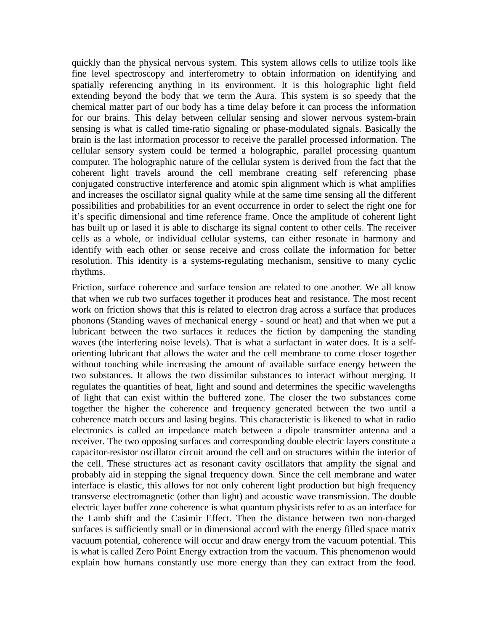quickly than the physical nervous system. This system allows cells to utilize tools like fine level spectroscopy and interferometry to obtain information on identifying and spatially referencing anything in its environment. It is this holographic light field extending beyond the body that we term the Aura. This system is so speedy that the chemical matter part of our body has a time delay before it can process the information for our brains. This delay between cellular sensing and slower nervous system-brain sensing is what is called time-ratio signaling or phase-modulated signals. Basically the brain is the last information processor to receive the parallel processed information. The cellular sensory system could be termed a holographic, parallel processing quantum computer. The holographic nature of the cellular system is derived from the fact that the coherent light travels around the cell membrane creating self referencing phase conjugated constructive interference and atomic spin alignment which is what amplifies and increases the oscillator signal quality while at the same time sensing all the different possibilities and probabilities for an event occurrence in order to select the right one for it's specific dimensional and time reference frame. Once the amplitude of coherent light has built up or lased it is able to discharge its signal content to other cells. The receiver cells as a whole, or individual cellular systems, can either resonate in harmony and identify with each other or sense receive and cross collate the information for better resolution. This identity is a systems-regulating mechanism, sensitive to many cyclic rhythms.

Friction, surface coherence and surface tension are related to one another. We all know that when we rub two surfaces together it produces heat and resistance. The most recent work on friction shows that this is related to electron drag across a surface that produces phonons (Standing waves of mechanical energy - sound or heat) and that when we put a lubricant between the two surfaces it reduces the fiction by dampening the standing waves (the interfering noise levels). That is what a surfactant in water does. It is a selforienting lubricant that allows the water and the cell membrane to come closer together without touching while increasing the amount of available surface energy between the two substances. It allows the two dissimilar substances to interact without merging. It regulates the quantities of heat, light and sound and determines the specific wavelengths of light that can exist within the buffered zone. The closer the two substances come together the higher the coherence and frequency generated between the two until a coherence match occurs and lasing begins. This characteristic is likened to what in radio electronics is called an impedance match between a dipole transmitter antenna and a receiver. The two opposing surfaces and corresponding double electric layers constitute a capacitor-resistor oscillator circuit around the cell and on structures within the interior of the cell. These structures act as resonant cavity oscillators that amplify the signal and probably aid in stepping the signal frequency down. Since the cell membrane and water interface is elastic, this allows for not only coherent light production but high frequency transverse electromagnetic (other than light) and acoustic wave transmission. The double electric layer buffer zone coherence is what quantum physicists refer to as an interface for the Lamb shift and the Casimir Effect. Then the distance between two non-charged surfaces is sufficiently small or in dimensional accord with the energy filled space matrix vacuum potential, coherence will occur and draw energy from the vacuum potential. This is what is called Zero Point Energy extraction from the vacuum. This phenomenon would explain how humans constantly use more energy than they can extract from the food.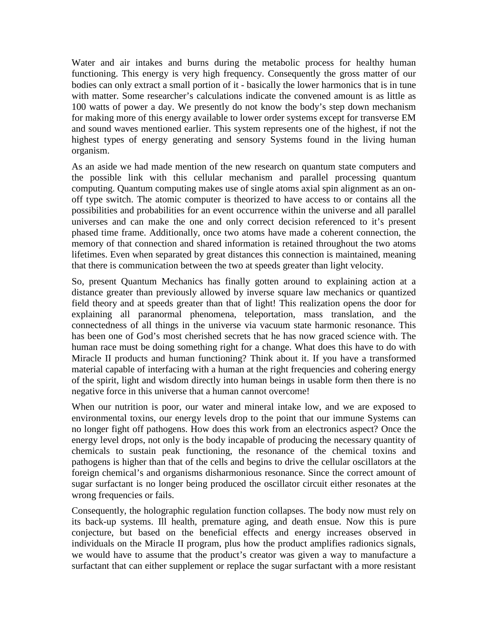Water and air intakes and burns during the metabolic process for healthy human functioning. This energy is very high frequency. Consequently the gross matter of our bodies can only extract a small portion of it - basically the lower harmonics that is in tune with matter. Some researcher's calculations indicate the convened amount is as little as 100 watts of power a day. We presently do not know the body's step down mechanism for making more of this energy available to lower order systems except for transverse EM and sound waves mentioned earlier. This system represents one of the highest, if not the highest types of energy generating and sensory Systems found in the living human organism.

As an aside we had made mention of the new research on quantum state computers and the possible link with this cellular mechanism and parallel processing quantum computing. Quantum computing makes use of single atoms axial spin alignment as an onoff type switch. The atomic computer is theorized to have access to or contains all the possibilities and probabilities for an event occurrence within the universe and all parallel universes and can make the one and only correct decision referenced to it's present phased time frame. Additionally, once two atoms have made a coherent connection, the memory of that connection and shared information is retained throughout the two atoms lifetimes. Even when separated by great distances this connection is maintained, meaning that there is communication between the two at speeds greater than light velocity.

So, present Quantum Mechanics has finally gotten around to explaining action at a distance greater than previously allowed by inverse square law mechanics or quantized field theory and at speeds greater than that of light! This realization opens the door for explaining all paranormal phenomena, teleportation, mass translation, and the connectedness of all things in the universe via vacuum state harmonic resonance. This has been one of God's most cherished secrets that he has now graced science with. The human race must be doing something right for a change. What does this have to do with Miracle II products and human functioning? Think about it. If you have a transformed material capable of interfacing with a human at the right frequencies and cohering energy of the spirit, light and wisdom directly into human beings in usable form then there is no negative force in this universe that a human cannot overcome!

When our nutrition is poor, our water and mineral intake low, and we are exposed to environmental toxins, our energy levels drop to the point that our immune Systems can no longer fight off pathogens. How does this work from an electronics aspect? Once the energy level drops, not only is the body incapable of producing the necessary quantity of chemicals to sustain peak functioning, the resonance of the chemical toxins and pathogens is higher than that of the cells and begins to drive the cellular oscillators at the foreign chemical's and organisms disharmonious resonance. Since the correct amount of sugar surfactant is no longer being produced the oscillator circuit either resonates at the wrong frequencies or fails.

Consequently, the holographic regulation function collapses. The body now must rely on its back-up systems. Ill health, premature aging, and death ensue. Now this is pure conjecture, but based on the beneficial effects and energy increases observed in individuals on the Miracle II program, plus how the product amplifies radionics signals, we would have to assume that the product's creator was given a way to manufacture a surfactant that can either supplement or replace the sugar surfactant with a more resistant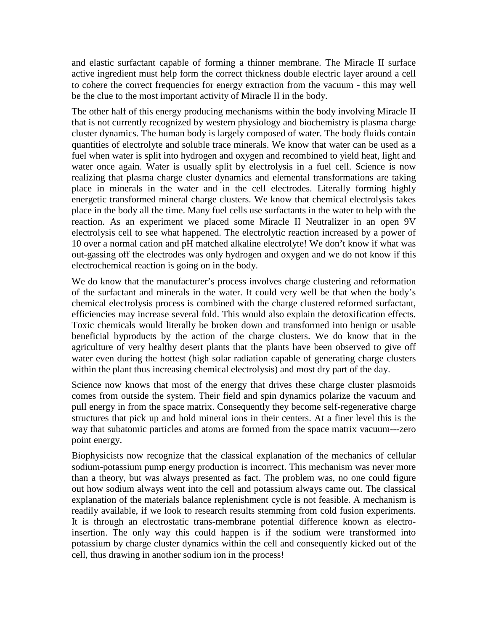and elastic surfactant capable of forming a thinner membrane. The Miracle II surface active ingredient must help form the correct thickness double electric layer around a cell to cohere the correct frequencies for energy extraction from the vacuum - this may well be the clue to the most important activity of Miracle II in the body.

The other half of this energy producing mechanisms within the body involving Miracle II that is not currently recognized by western physiology and biochemistry is plasma charge cluster dynamics. The human body is largely composed of water. The body fluids contain quantities of electrolyte and soluble trace minerals. We know that water can be used as a fuel when water is split into hydrogen and oxygen and recombined to yield heat, light and water once again. Water is usually split by electrolysis in a fuel cell. Science is now realizing that plasma charge cluster dynamics and elemental transformations are taking place in minerals in the water and in the cell electrodes. Literally forming highly energetic transformed mineral charge clusters. We know that chemical electrolysis takes place in the body all the time. Many fuel cells use surfactants in the water to help with the reaction. As an experiment we placed some Miracle II Neutralizer in an open 9V electrolysis cell to see what happened. The electrolytic reaction increased by a power of 10 over a normal cation and pH matched alkaline electrolyte! We don't know if what was out-gassing off the electrodes was only hydrogen and oxygen and we do not know if this electrochemical reaction is going on in the body.

We do know that the manufacturer's process involves charge clustering and reformation of the surfactant and minerals in the water. It could very well be that when the body's chemical electrolysis process is combined with the charge clustered reformed surfactant, efficiencies may increase several fold. This would also explain the detoxification effects. Toxic chemicals would literally be broken down and transformed into benign or usable beneficial byproducts by the action of the charge clusters. We do know that in the agriculture of very healthy desert plants that the plants have been observed to give off water even during the hottest (high solar radiation capable of generating charge clusters within the plant thus increasing chemical electrolysis) and most dry part of the day.

Science now knows that most of the energy that drives these charge cluster plasmoids comes from outside the system. Their field and spin dynamics polarize the vacuum and pull energy in from the space matrix. Consequently they become self-regenerative charge structures that pick up and hold mineral ions in their centers. At a finer level this is the way that subatomic particles and atoms are formed from the space matrix vacuum---zero point energy.

Biophysicists now recognize that the classical explanation of the mechanics of cellular sodium-potassium pump energy production is incorrect. This mechanism was never more than a theory, but was always presented as fact. The problem was, no one could figure out how sodium always went into the cell and potassium always came out. The classical explanation of the materials balance replenishment cycle is not feasible. A mechanism is readily available, if we look to research results stemming from cold fusion experiments. It is through an electrostatic trans-membrane potential difference known as electroinsertion. The only way this could happen is if the sodium were transformed into potassium by charge cluster dynamics within the cell and consequently kicked out of the cell, thus drawing in another sodium ion in the process!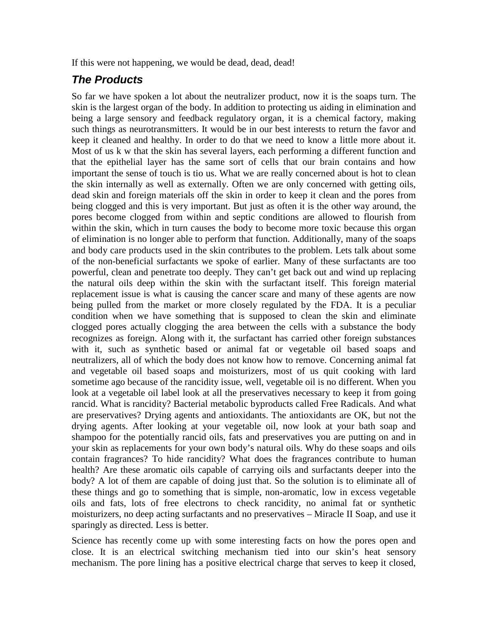If this were not happening, we would be dead, dead, dead!

#### *The Products*

So far we have spoken a lot about the neutralizer product, now it is the soaps turn. The skin is the largest organ of the body. In addition to protecting us aiding in elimination and being a large sensory and feedback regulatory organ, it is a chemical factory, making such things as neurotransmitters. It would be in our best interests to return the favor and keep it cleaned and healthy. In order to do that we need to know a little more about it. Most of us k w that the skin has several layers, each performing a different function and that the epithelial layer has the same sort of cells that our brain contains and how important the sense of touch is tio us. What we are really concerned about is hot to clean the skin internally as well as externally. Often we are only concerned with getting oils, dead skin and foreign materials off the skin in order to keep it clean and the pores from being clogged and this is very important. But just as often it is the other way around, the pores become clogged from within and septic conditions are allowed to flourish from within the skin, which in turn causes the body to become more toxic because this organ of elimination is no longer able to perform that function. Additionally, many of the soaps and body care products used in the skin contributes to the problem. Lets talk about some of the non-beneficial surfactants we spoke of earlier. Many of these surfactants are too powerful, clean and penetrate too deeply. They can't get back out and wind up replacing the natural oils deep within the skin with the surfactant itself. This foreign material replacement issue is what is causing the cancer scare and many of these agents are now being pulled from the market or more closely regulated by the FDA. It is a peculiar condition when we have something that is supposed to clean the skin and eliminate clogged pores actually clogging the area between the cells with a substance the body recognizes as foreign. Along with it, the surfactant has carried other foreign substances with it, such as synthetic based or animal fat or vegetable oil based soaps and neutralizers, all of which the body does not know how to remove. Concerning animal fat and vegetable oil based soaps and moisturizers, most of us quit cooking with lard sometime ago because of the rancidity issue, well, vegetable oil is no different. When you look at a vegetable oil label look at all the preservatives necessary to keep it from going rancid. What is rancidity? Bacterial metabolic byproducts called Free Radicals. And what are preservatives? Drying agents and antioxidants. The antioxidants are OK, but not the drying agents. After looking at your vegetable oil, now look at your bath soap and shampoo for the potentially rancid oils, fats and preservatives you are putting on and in your skin as replacements for your own body's natural oils. Why do these soaps and oils contain fragrances? To hide rancidity? What does the fragrances contribute to human health? Are these aromatic oils capable of carrying oils and surfactants deeper into the body? A lot of them are capable of doing just that. So the solution is to eliminate all of these things and go to something that is simple, non-aromatic, low in excess vegetable oils and fats, lots of free electrons to check rancidity, no animal fat or synthetic moisturizers, no deep acting surfactants and no preservatives – Miracle II Soap, and use it sparingly as directed. Less is better.

Science has recently come up with some interesting facts on how the pores open and close. It is an electrical switching mechanism tied into our skin's heat sensory mechanism. The pore lining has a positive electrical charge that serves to keep it closed,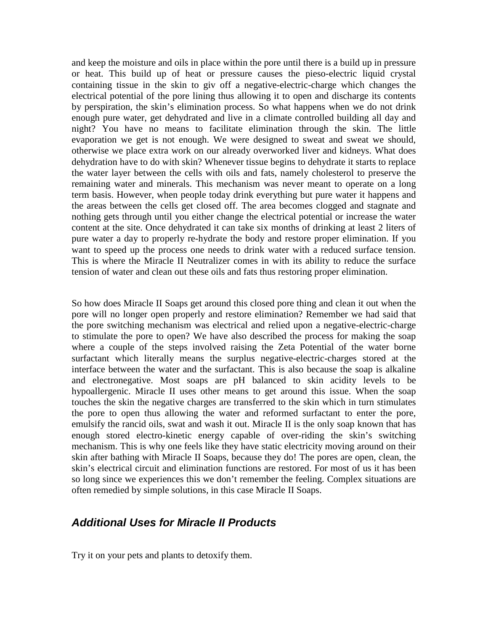and keep the moisture and oils in place within the pore until there is a build up in pressure or heat. This build up of heat or pressure causes the pieso-electric liquid crystal containing tissue in the skin to giv off a negative-electric-charge which changes the electrical potential of the pore lining thus allowing it to open and discharge its contents by perspiration, the skin's elimination process. So what happens when we do not drink enough pure water, get dehydrated and live in a climate controlled building all day and night? You have no means to facilitate elimination through the skin. The little evaporation we get is not enough. We were designed to sweat and sweat we should, otherwise we place extra work on our already overworked liver and kidneys. What does dehydration have to do with skin? Whenever tissue begins to dehydrate it starts to replace the water layer between the cells with oils and fats, namely cholesterol to preserve the remaining water and minerals. This mechanism was never meant to operate on a long term basis. However, when people today drink everything but pure water it happens and the areas between the cells get closed off. The area becomes clogged and stagnate and nothing gets through until you either change the electrical potential or increase the water content at the site. Once dehydrated it can take six months of drinking at least 2 liters of pure water a day to properly re-hydrate the body and restore proper elimination. If you want to speed up the process one needs to drink water with a reduced surface tension. This is where the Miracle II Neutralizer comes in with its ability to reduce the surface tension of water and clean out these oils and fats thus restoring proper elimination.

So how does Miracle II Soaps get around this closed pore thing and clean it out when the pore will no longer open properly and restore elimination? Remember we had said that the pore switching mechanism was electrical and relied upon a negative-electric-charge to stimulate the pore to open? We have also described the process for making the soap where a couple of the steps involved raising the Zeta Potential of the water borne surfactant which literally means the surplus negative-electric-charges stored at the interface between the water and the surfactant. This is also because the soap is alkaline and electronegative. Most soaps are pH balanced to skin acidity levels to be hypoallergenic. Miracle II uses other means to get around this issue. When the soap touches the skin the negative charges are transferred to the skin which in turn stimulates the pore to open thus allowing the water and reformed surfactant to enter the pore, emulsify the rancid oils, swat and wash it out. Miracle II is the only soap known that has enough stored electro-kinetic energy capable of over-riding the skin's switching mechanism. This is why one feels like they have static electricity moving around on their skin after bathing with Miracle II Soaps, because they do! The pores are open, clean, the skin's electrical circuit and elimination functions are restored. For most of us it has been so long since we experiences this we don't remember the feeling. Complex situations are often remedied by simple solutions, in this case Miracle II Soaps.

#### *Additional Uses for Miracle II Products*

Try it on your pets and plants to detoxify them.